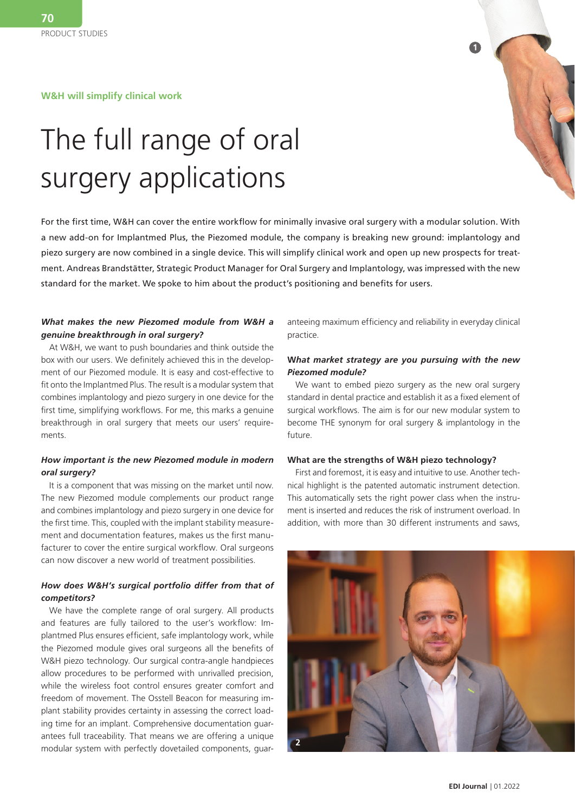**W&H will simplify clinical work**



# The full range of oral surgery applications

For the first time, W&H can cover the entire workflow for minimally invasive oral surgery with a modular solution. With a new add-on for Implantmed Plus, the Piezomed module, the company is breaking new ground: implantology and piezo surgery are now combined in a single device. This will simplify clinical work and open up new prospects for treatment. Andreas Brandstätter, Strategic Product Manager for Oral Surgery and Implantology, was impressed with the new standard for the market. We spoke to him about the product's positioning and benefits for users.

### *What makes the new Piezomed module from W&H a genuine breakthrough in oral surgery?*

At W&H, we want to push boundaries and think outside the box with our users. We definitely achieved this in the development of our Piezomed module. It is easy and cost-effective to fit onto the Implantmed Plus. The result is a modular system that combines implantology and piezo surgery in one device for the first time, simplifying workflows. For me, this marks a genuine breakthrough in oral surgery that meets our users' requirements.

### *How important is the new Piezomed module in modern oral surgery?*

It is a component that was missing on the market until now. The new Piezomed module complements our product range and combines implantology and piezo surgery in one device for the first time. This, coupled with the implant stability measurement and documentation features, makes us the first manufacturer to cover the entire surgical workflow. Oral surgeons can now discover a new world of treatment possibilities.

### *How does W&H's surgical portfolio differ from that of competitors?*

We have the complete range of oral surgery. All products and features are fully tailored to the user's workflow: Implantmed Plus ensures efficient, safe implantology work, while the Piezomed module gives oral surgeons all the benefits of W&H piezo technology. Our surgical contra-angle handpieces allow procedures to be performed with unrivalled precision, while the wireless foot control ensures greater comfort and freedom of movement. The Osstell Beacon for measuring implant stability provides certainty in assessing the correct loading time for an implant. Comprehensive documentation guarantees full traceability. That means we are offering a unique modular system with perfectly dovetailed components, guaranteeing maximum efficiency and reliability in everyday clinical practice.

#### **W***hat market strategy are you pursuing with the new Piezomed module?*

We want to embed piezo surgery as the new oral surgery standard in dental practice and establish it as a fixed element of surgical workflows. The aim is for our new modular system to become THE synonym for oral surgery & implantology in the future.

#### **What are the strengths of W&H piezo technology?**

First and foremost, it is easy and intuitive to use. Another technical highlight is the patented automatic instrument detection. This automatically sets the right power class when the instrument is inserted and reduces the risk of instrument overload. In addition, with more than 30 different instruments and saws,